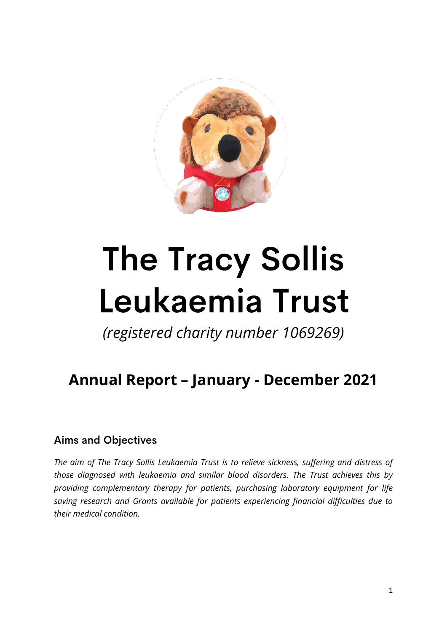

# **The Tracy Sollis** Leukaemia Trust

*(registered charity number 1069269)*

# **Annual Report – January - December 2021**

# **Aims and Objectives**

*The aim of The Tracy Sollis Leukaemia Trust is to relieve sickness, suffering and distress of those diagnosed with leukaemia and similar blood disorders. The Trust achieves this by providing complementary therapy for patients, purchasing laboratory equipment for life saving research and Grants available for patients experiencing financial difficulties due to their medical condition.*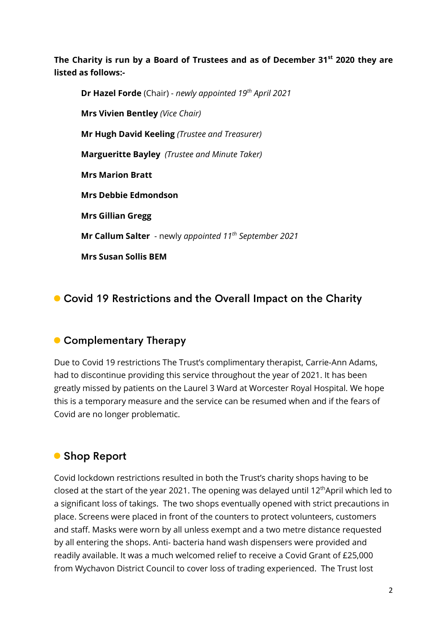**The Charity is run by a Board of Trustees and as of December 31st 2020 they are listed as follows:-**

**Dr Hazel Forde** (Chair) - *newly appointed 19th April 2021* **Mrs Vivien Bentley** *(Vice Chair)* **Mr Hugh David Keeling** *(Trustee and Treasurer)*  **Margueritte Bayley** *(Trustee and Minute Taker)* **Mrs Marion Bratt Mrs Debbie Edmondson Mrs Gillian Gregg Mr Callum Salter** - newly *appointed 11th September 2021* **Mrs Susan Sollis BEM**

# • Covid 19 Restrictions and the Overall Impact on the Charity

# • Complementary Therapy

Due to Covid 19 restrictions The Trust's complimentary therapist, Carrie-Ann Adams, had to discontinue providing this service throughout the year of 2021. It has been greatly missed by patients on the Laurel 3 Ward at Worcester Royal Hospital. We hope this is a temporary measure and the service can be resumed when and if the fears of Covid are no longer problematic.

# • Shop Report

Covid lockdown restrictions resulted in both the Trust's charity shops having to be closed at the start of the year 2021. The opening was delayed until 12<sup>th</sup>April which led to a significant loss of takings. The two shops eventually opened with strict precautions in place. Screens were placed in front of the counters to protect volunteers, customers and staff. Masks were worn by all unless exempt and a two metre distance requested by all entering the shops. Anti- bacteria hand wash dispensers were provided and readily available. It was a much welcomed relief to receive a Covid Grant of £25,000 from Wychavon District Council to cover loss of trading experienced. The Trust lost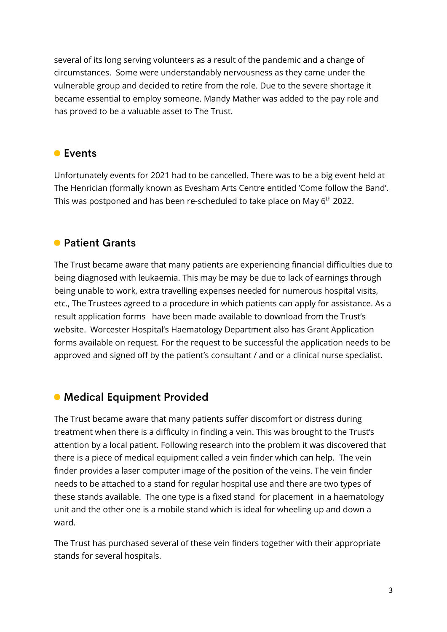several of its long serving volunteers as a result of the pandemic and a change of circumstances. Some were understandably nervousness as they came under the vulnerable group and decided to retire from the role. Due to the severe shortage it became essential to employ someone. Mandy Mather was added to the pay role and has proved to be a valuable asset to The Trust.

#### **C** Events

Unfortunately events for 2021 had to be cancelled. There was to be a big event held at The Henrician (formally known as Evesham Arts Centre entitled 'Come follow the Band'. This was postponed and has been re-scheduled to take place on May 6<sup>th</sup> 2022.

#### **• Patient Grants**

The Trust became aware that many patients are experiencing financial difficulties due to being diagnosed with leukaemia. This may be may be due to lack of earnings through being unable to work, extra travelling expenses needed for numerous hospital visits, etc., The Trustees agreed to a procedure in which patients can apply for assistance. As a result application forms have been made available to download from the Trust's website. Worcester Hospital's Haematology Department also has Grant Application forms available on request. For the request to be successful the application needs to be approved and signed off by the patient's consultant / and or a clinical nurse specialist.

#### • Medical Equipment Provided

The Trust became aware that many patients suffer discomfort or distress during treatment when there is a difficulty in finding a vein. This was brought to the Trust's attention by a local patient. Following research into the problem it was discovered that there is a piece of medical equipment called a vein finder which can help. The vein finder provides a laser computer image of the position of the veins. The vein finder needs to be attached to a stand for regular hospital use and there are two types of these stands available. The one type is a fixed stand for placement in a haematology unit and the other one is a mobile stand which is ideal for wheeling up and down a ward.

The Trust has purchased several of these vein finders together with their appropriate stands for several hospitals.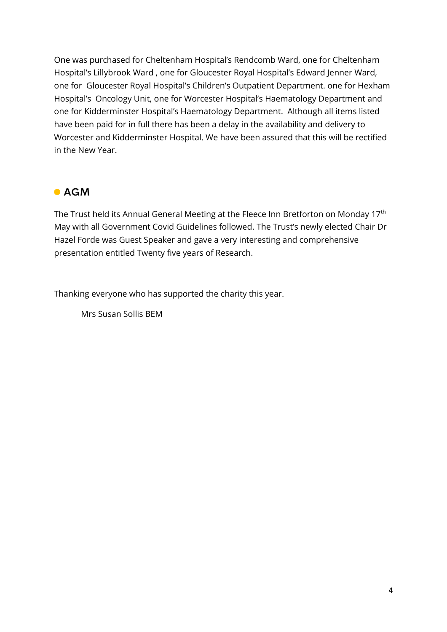One was purchased for Cheltenham Hospital's Rendcomb Ward, one for Cheltenham Hospital's Lillybrook Ward , one for Gloucester Royal Hospital's Edward Jenner Ward, one for Gloucester Royal Hospital's Children's Outpatient Department. one for Hexham Hospital's Oncology Unit, one for Worcester Hospital's Haematology Department and one for Kidderminster Hospital's Haematology Department. Although all items listed have been paid for in full there has been a delay in the availability and delivery to Worcester and Kidderminster Hospital. We have been assured that this will be rectified in the New Year.

#### $\bullet$  AGM

The Trust held its Annual General Meeting at the Fleece Inn Bretforton on Monday 17<sup>th</sup> May with all Government Covid Guidelines followed. The Trust's newly elected Chair Dr Hazel Forde was Guest Speaker and gave a very interesting and comprehensive presentation entitled Twenty five years of Research.

Thanking everyone who has supported the charity this year.

Mrs Susan Sollis BEM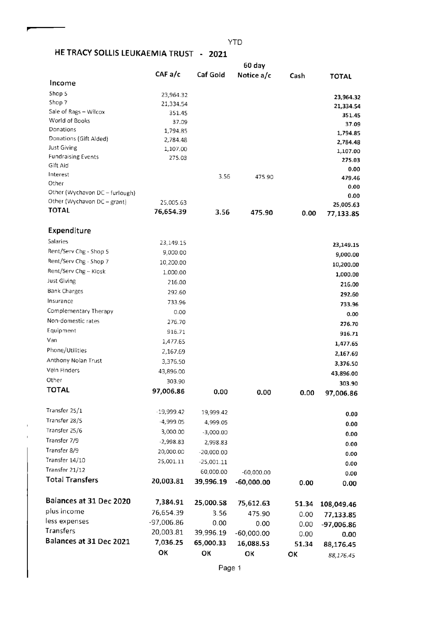# HE TRACY SOLLIS LEUKAEMIA TRUST - 2021

|                                | 60 day       |              |              |       |              |
|--------------------------------|--------------|--------------|--------------|-------|--------------|
|                                | CAFa/c       | Caf Gold     | Notice a/c   | Cash  | <b>TOTAL</b> |
| Income                         |              |              |              |       |              |
| Shop 5                         | 23,964.32    |              |              |       | 23,964.32    |
| Shop 7                         | 21,334.54    |              |              |       | 21,334.54    |
| Sale of Rags - Wilcox          | 351.45       |              |              |       | 351.45       |
| World of Books                 | 37.09        |              |              |       | 37.09        |
| Donations                      | 1,794.85     |              |              |       | 1,794.85     |
| Donations (Gift Aided)         | 2,784.48     |              |              |       | 2,784.48     |
| <b>Just Giving</b>             | 1,107.00     |              |              |       | 1,107.00     |
| <b>Fundraising Events</b>      | 275.03       |              |              |       | 275.03       |
| Gift Aid<br>Interest           |              |              |              |       | 0.00         |
| Other                          |              | 3.56         | 475.90       |       | 479.46       |
| Other (Wychavon DC - furlough) |              |              |              |       | 0.00         |
| Other (Wychavon DC - grant)    | 25,005.63    |              |              |       | 0.00         |
| <b>TOTAL</b>                   | 76,654.39    | 3.56         |              |       | 25,005.63    |
|                                |              |              | 475.90       | 0.00  | 77,133.85    |
| Expenditure                    |              |              |              |       |              |
| Salaries                       |              |              |              |       |              |
| Rent/Serv Chg - Shop 5         | 23,149.15    |              |              |       | 23,149.15    |
|                                | 9,000.00     |              |              |       | 9,000.00     |
| Rent/Serv Chg - Shop 7         | 10,200.00    |              |              |       | 10,200.00    |
| Rent/Serv Chg - Kiosk          | 1,000.00     |              |              |       | 1,000.00     |
| Just Giving                    | 216.00       |              |              |       | 216.00       |
| Bank Charges                   | 292.60       |              |              |       | 292.60       |
| Insurance                      | 733.96       |              |              |       | 733.96       |
| Complementary Therapy          | 0.00         |              |              |       | 0.00         |
| Non-domestic rates             | 276.70       |              |              |       | 276.70       |
| Equipment                      | 916.71       |              |              |       | 916.71       |
| Van                            | 1,477.65     |              |              |       | 1,477.65     |
| Phone/Utilities                | 2,167.69     |              |              |       | 2,167.69     |
| Anthony Nolan Trust            | 3,376.50     |              |              |       | 3,376.50     |
| Vein Finders                   | 43,896.00    |              |              |       | 43,896.00    |
| Other                          | 303.90       |              |              |       | 303.90       |
| <b>TOTAL</b>                   | 97,006.86    | 0.00         | 0.00         | 0.00  | 97,006.86    |
|                                |              |              |              |       |              |
| Transfer 25/1                  | $-19,999.42$ | 19,999.42    |              |       | 0.00         |
| Transfer 28/5                  | -4,999.05    | 4,999.05     |              |       | 0.00         |
| Transfer 25/6                  | 3,000.00     | $-3,000.00$  |              |       | 0.00         |
| Transfer 7/9                   | $-2,998.83$  | 2,998.83     |              |       |              |
| Transfer 8/9                   | 20,000.00    | $-20,000.00$ |              |       | 0.00         |
| Transfer 14/10                 | 25,001.11    | $-25,001.11$ |              |       | 0.00         |
| Transfer 21/12                 |              | 60,000.00    |              |       | 0.00         |
| <b>Total Transfers</b>         | 20,003.81    |              | $-60,000.00$ |       | 0.00         |
|                                |              | 39,996.19    | $-60,000.00$ | 0.00  | 0.00         |
| Balances at 31 Dec 2020        | 7,384.91     | 25,000.58    | 75,612.63    | 51.34 | 108,049.46   |
| plus income                    | 76,654.39    | 3.56         | 475.90       | 0.00  | 77,133.85    |
| less expenses                  | -97,006.86   | 0.00         | 0.00         | 0.00  | -97,006.86   |
| Transfers                      | 20,003.81    | 39,996.19    | $-60,000.00$ | 0.00  |              |
| Balances at 31 Dec 2021        | 7,036.25     | 65,000.33    | 16,088.53    |       | 0.00         |
|                                | ОК           |              |              | 51.34 | 88,176.45    |
|                                |              | ОΚ           | ок           | ОК    | 88,176.45    |

Page 1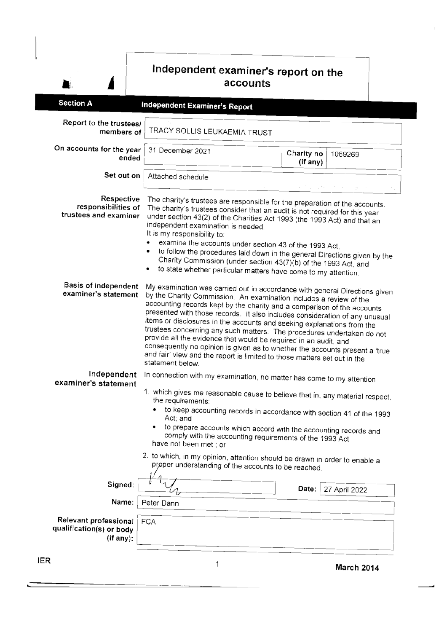# Independent examiner's report on the accounts

 $\bar{1}$ 

| Report to the trustees/<br>TRACY SOLLIS LEUKAEMIA TRUST<br>members of<br>On accounts for the year<br>31 December 2021<br>Charity no<br>1069269<br>ended<br>(if any)<br>Set out on<br>Attached schedule<br>医骨盆 微型 化乙酰胺 医血管<br>Respective<br>The charity's trustees are responsible for the preparation of the accounts.<br>responsibilities of<br>The charity's trustees consider that an audit is not required for this year<br>trustees and examiner<br>under section 43(2) of the Charities Act 1993 (the 1993 Act) and that an<br>independent examination is needed.<br>It is my responsibility to:<br>examine the accounts under section 43 of the 1993 Act,<br>Charity Commission (under section 43(7)(b) of the 1993 Act, and<br>to state whether particular matters have come to my attention.<br><b>Basis of independent</b><br>examiner's statement<br>by the Charity Commission. An examination includes a review of the<br>accounting records kept by the charity and a comparison of the accounts<br>items or disclosures in the accounts and seeking explanations from the<br>trustees concerning any such matters. The procedures undertaken do not<br>provide all the evidence that would be required in an audit, and<br>and fair' view and the report is limited to those matters set out in the<br>statement below.<br>Independent<br>In connection with my examination, no matter has come to my attention<br>examiner's statement<br>1. which gives me reasonable cause to believe that in, any material respect,<br>the requirements:<br>to keep accounting records in accordance with section 41 of the 1993<br>Act; and<br>• to prepare accounts which accord with the accounting records and<br>comply with the accounting requirements of the 1993 Act<br>have not been met; or<br>2. to which, in my opinion, attention should be drawn in order to enable a<br>proper understanding of the accounts to be reached.<br>Signed:<br>Date:<br>27 April 2022<br>Name:<br>Peter Dann<br>Relevant professional<br><b>FCA</b><br>qualification(s) or body<br>(if any):<br>R<br>1 |                  |                                                                                                                                                                                                                                          |  |                   |  |  |  |
|-----------------------------------------------------------------------------------------------------------------------------------------------------------------------------------------------------------------------------------------------------------------------------------------------------------------------------------------------------------------------------------------------------------------------------------------------------------------------------------------------------------------------------------------------------------------------------------------------------------------------------------------------------------------------------------------------------------------------------------------------------------------------------------------------------------------------------------------------------------------------------------------------------------------------------------------------------------------------------------------------------------------------------------------------------------------------------------------------------------------------------------------------------------------------------------------------------------------------------------------------------------------------------------------------------------------------------------------------------------------------------------------------------------------------------------------------------------------------------------------------------------------------------------------------------------------------------------------------------------------------------------------------------------------------------------------------------------------------------------------------------------------------------------------------------------------------------------------------------------------------------------------------------------------------------------------------------------------------------------------------------------------------------------------------------------------------------------------------------|------------------|------------------------------------------------------------------------------------------------------------------------------------------------------------------------------------------------------------------------------------------|--|-------------------|--|--|--|
|                                                                                                                                                                                                                                                                                                                                                                                                                                                                                                                                                                                                                                                                                                                                                                                                                                                                                                                                                                                                                                                                                                                                                                                                                                                                                                                                                                                                                                                                                                                                                                                                                                                                                                                                                                                                                                                                                                                                                                                                                                                                                                     | <b>Section A</b> | <b>Independent Examiner's Report</b>                                                                                                                                                                                                     |  |                   |  |  |  |
|                                                                                                                                                                                                                                                                                                                                                                                                                                                                                                                                                                                                                                                                                                                                                                                                                                                                                                                                                                                                                                                                                                                                                                                                                                                                                                                                                                                                                                                                                                                                                                                                                                                                                                                                                                                                                                                                                                                                                                                                                                                                                                     |                  |                                                                                                                                                                                                                                          |  |                   |  |  |  |
|                                                                                                                                                                                                                                                                                                                                                                                                                                                                                                                                                                                                                                                                                                                                                                                                                                                                                                                                                                                                                                                                                                                                                                                                                                                                                                                                                                                                                                                                                                                                                                                                                                                                                                                                                                                                                                                                                                                                                                                                                                                                                                     |                  |                                                                                                                                                                                                                                          |  |                   |  |  |  |
|                                                                                                                                                                                                                                                                                                                                                                                                                                                                                                                                                                                                                                                                                                                                                                                                                                                                                                                                                                                                                                                                                                                                                                                                                                                                                                                                                                                                                                                                                                                                                                                                                                                                                                                                                                                                                                                                                                                                                                                                                                                                                                     |                  |                                                                                                                                                                                                                                          |  |                   |  |  |  |
|                                                                                                                                                                                                                                                                                                                                                                                                                                                                                                                                                                                                                                                                                                                                                                                                                                                                                                                                                                                                                                                                                                                                                                                                                                                                                                                                                                                                                                                                                                                                                                                                                                                                                                                                                                                                                                                                                                                                                                                                                                                                                                     |                  | to follow the procedures laid down in the general Directions given by the                                                                                                                                                                |  |                   |  |  |  |
|                                                                                                                                                                                                                                                                                                                                                                                                                                                                                                                                                                                                                                                                                                                                                                                                                                                                                                                                                                                                                                                                                                                                                                                                                                                                                                                                                                                                                                                                                                                                                                                                                                                                                                                                                                                                                                                                                                                                                                                                                                                                                                     |                  | My examination was carried out in accordance with general Directions given<br>presented with those records. It also includes consideration of any unusual<br>consequently no opinion is given as to whether the accounts present a 'true |  |                   |  |  |  |
|                                                                                                                                                                                                                                                                                                                                                                                                                                                                                                                                                                                                                                                                                                                                                                                                                                                                                                                                                                                                                                                                                                                                                                                                                                                                                                                                                                                                                                                                                                                                                                                                                                                                                                                                                                                                                                                                                                                                                                                                                                                                                                     |                  |                                                                                                                                                                                                                                          |  |                   |  |  |  |
|                                                                                                                                                                                                                                                                                                                                                                                                                                                                                                                                                                                                                                                                                                                                                                                                                                                                                                                                                                                                                                                                                                                                                                                                                                                                                                                                                                                                                                                                                                                                                                                                                                                                                                                                                                                                                                                                                                                                                                                                                                                                                                     |                  |                                                                                                                                                                                                                                          |  |                   |  |  |  |
|                                                                                                                                                                                                                                                                                                                                                                                                                                                                                                                                                                                                                                                                                                                                                                                                                                                                                                                                                                                                                                                                                                                                                                                                                                                                                                                                                                                                                                                                                                                                                                                                                                                                                                                                                                                                                                                                                                                                                                                                                                                                                                     |                  |                                                                                                                                                                                                                                          |  |                   |  |  |  |
|                                                                                                                                                                                                                                                                                                                                                                                                                                                                                                                                                                                                                                                                                                                                                                                                                                                                                                                                                                                                                                                                                                                                                                                                                                                                                                                                                                                                                                                                                                                                                                                                                                                                                                                                                                                                                                                                                                                                                                                                                                                                                                     |                  |                                                                                                                                                                                                                                          |  |                   |  |  |  |
|                                                                                                                                                                                                                                                                                                                                                                                                                                                                                                                                                                                                                                                                                                                                                                                                                                                                                                                                                                                                                                                                                                                                                                                                                                                                                                                                                                                                                                                                                                                                                                                                                                                                                                                                                                                                                                                                                                                                                                                                                                                                                                     |                  |                                                                                                                                                                                                                                          |  |                   |  |  |  |
|                                                                                                                                                                                                                                                                                                                                                                                                                                                                                                                                                                                                                                                                                                                                                                                                                                                                                                                                                                                                                                                                                                                                                                                                                                                                                                                                                                                                                                                                                                                                                                                                                                                                                                                                                                                                                                                                                                                                                                                                                                                                                                     |                  |                                                                                                                                                                                                                                          |  | <b>March 2014</b> |  |  |  |

JE

 $\blacksquare$